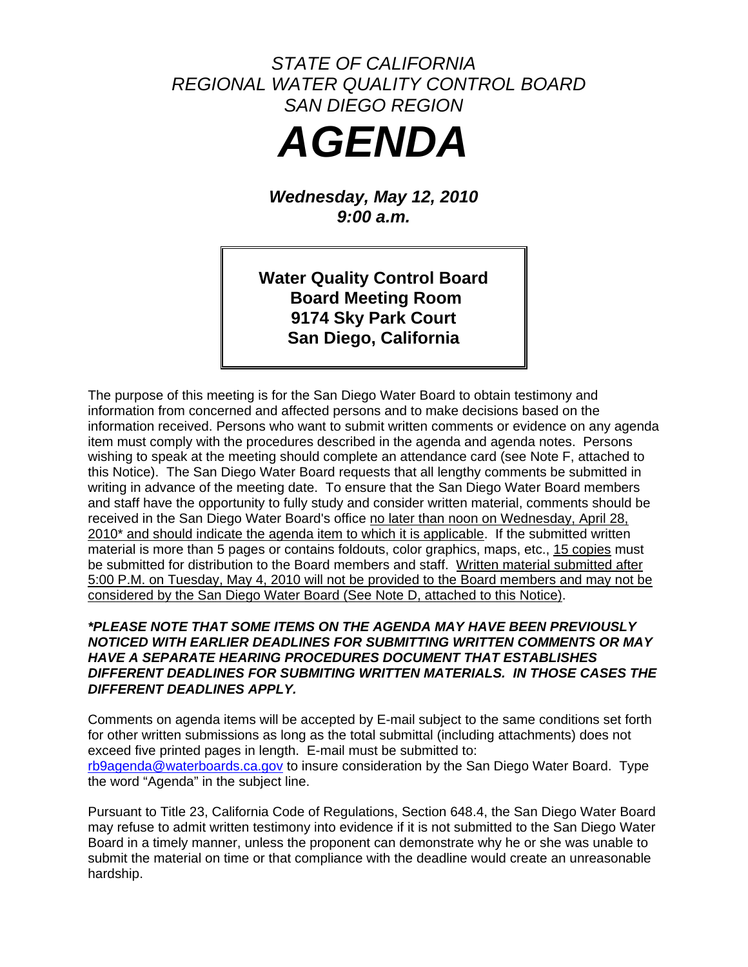# *STATE OF CALIFORNIA REGIONAL WATER QUALITY CONTROL BOARD SAN DIEGO REGION AGENDA*

*Wednesday, May 12, 2010 9:00 a.m.* 

**Water Quality Control Board Board Meeting Room 9174 Sky Park Court San Diego, California** 

The purpose of this meeting is for the San Diego Water Board to obtain testimony and information from concerned and affected persons and to make decisions based on the information received. Persons who want to submit written comments or evidence on any agenda item must comply with the procedures described in the agenda and agenda notes. Persons wishing to speak at the meeting should complete an attendance card (see Note F, attached to this Notice). The San Diego Water Board requests that all lengthy comments be submitted in writing in advance of the meeting date. To ensure that the San Diego Water Board members and staff have the opportunity to fully study and consider written material, comments should be received in the San Diego Water Board's office no later than noon on Wednesday, April 28, 2010<sup>\*</sup> and should indicate the agenda item to which it is applicable. If the submitted written material is more than 5 pages or contains foldouts, color graphics, maps, etc., 15 copies must be submitted for distribution to the Board members and staff. Written material submitted after 5:00 P.M. on Tuesday, May 4, 2010 will not be provided to the Board members and may not be considered by the San Diego Water Board (See Note D, attached to this Notice).

# *\*PLEASE NOTE THAT SOME ITEMS ON THE AGENDA MAY HAVE BEEN PREVIOUSLY NOTICED WITH EARLIER DEADLINES FOR SUBMITTING WRITTEN COMMENTS OR MAY HAVE A SEPARATE HEARING PROCEDURES DOCUMENT THAT ESTABLISHES DIFFERENT DEADLINES FOR SUBMITING WRITTEN MATERIALS. IN THOSE CASES THE DIFFERENT DEADLINES APPLY.*

Comments on agenda items will be accepted by E-mail subject to the same conditions set forth for other written submissions as long as the total submittal (including attachments) does not exceed five printed pages in length. E-mail must be submitted to: [rb9agenda@waterboards.ca.gov](mailto:rb9agenda@waterboards.ca.gov) to insure consideration by the San Diego Water Board. Type the word "Agenda" in the subject line.

Pursuant to Title 23, California Code of Regulations, Section 648.4, the San Diego Water Board may refuse to admit written testimony into evidence if it is not submitted to the San Diego Water Board in a timely manner, unless the proponent can demonstrate why he or she was unable to submit the material on time or that compliance with the deadline would create an unreasonable hardship.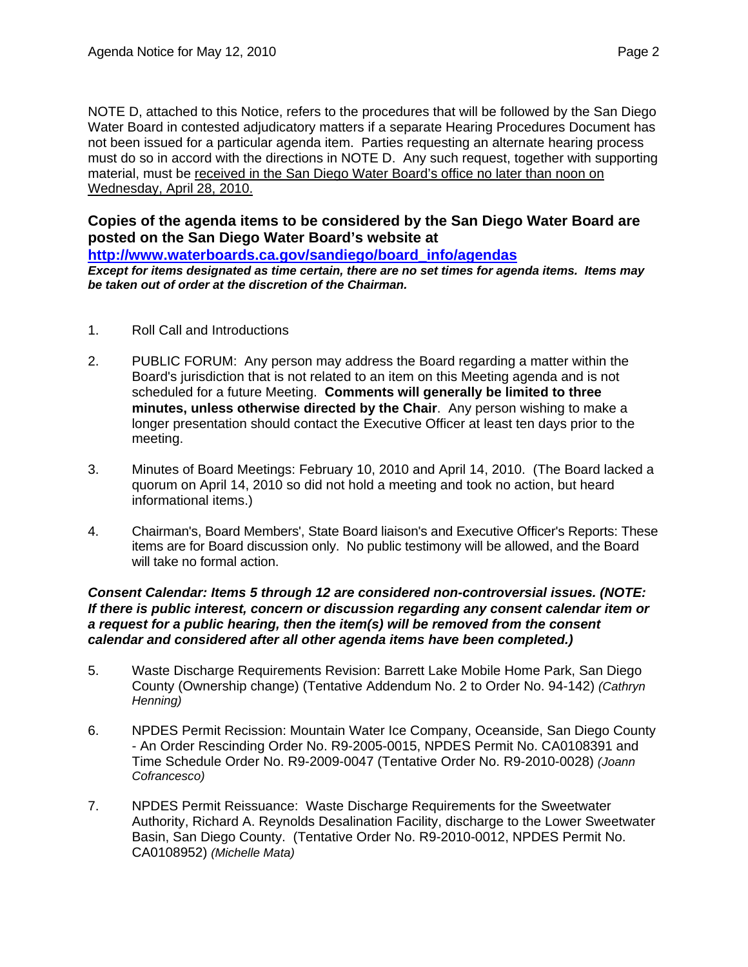NOTE D, attached to this Notice, refers to the procedures that will be followed by the San Diego Water Board in contested adjudicatory matters if a separate Hearing Procedures Document has not been issued for a particular agenda item. Parties requesting an alternate hearing process must do so in accord with the directions in NOTE D. Any such request, together with supporting material, must be received in the San Diego Water Board's office no later than noon on Wednesday, April 28, 2010.

**Copies of the agenda items to be considered by the San Diego Water Board are posted on the San Diego Water Board's website at** 

**[http://www.waterboards.ca.gov/sandiego/board\\_info/agendas](http://www.waterboards.ca.gov/sandiego/board_info/agendas)**

*Except for items designated as time certain, there are no set times for agenda items. Items may be taken out of order at the discretion of the Chairman.*

- 1. Roll Call and Introductions
- 2. PUBLIC FORUM: Any person may address the Board regarding a matter within the Board's jurisdiction that is not related to an item on this Meeting agenda and is not scheduled for a future Meeting. **Comments will generally be limited to three minutes, unless otherwise directed by the Chair**. Any person wishing to make a longer presentation should contact the Executive Officer at least ten days prior to the meeting.
- 3. Minutes of Board Meetings: February 10, 2010 and April 14, 2010. (The Board lacked a quorum on April 14, 2010 so did not hold a meeting and took no action, but heard informational items.)
- 4. Chairman's, Board Members', State Board liaison's and Executive Officer's Reports: These items are for Board discussion only. No public testimony will be allowed, and the Board will take no formal action.

#### *Consent Calendar: Items 5 through 12 are considered non-controversial issues. (NOTE: If there is public interest, concern or discussion regarding any consent calendar item or a request for a public hearing, then the item(s) will be removed from the consent calendar and considered after all other agenda items have been completed.)*

- 5. Waste Discharge Requirements Revision: Barrett Lake Mobile Home Park, San Diego County (Ownership change) (Tentative Addendum No. 2 to Order No. 94-142) *(Cathryn Henning)*
- 6. NPDES Permit Recission: Mountain Water Ice Company, Oceanside, San Diego County - An Order Rescinding Order No. R9-2005-0015, NPDES Permit No. CA0108391 and Time Schedule Order No. R9-2009-0047 (Tentative Order No. R9-2010-0028) *(Joann Cofrancesco)*
- 7. NPDES Permit Reissuance: Waste Discharge Requirements for the Sweetwater Authority, Richard A. Reynolds Desalination Facility, discharge to the Lower Sweetwater Basin, San Diego County. (Tentative Order No. R9-2010-0012, NPDES Permit No. CA0108952) *(Michelle Mata)*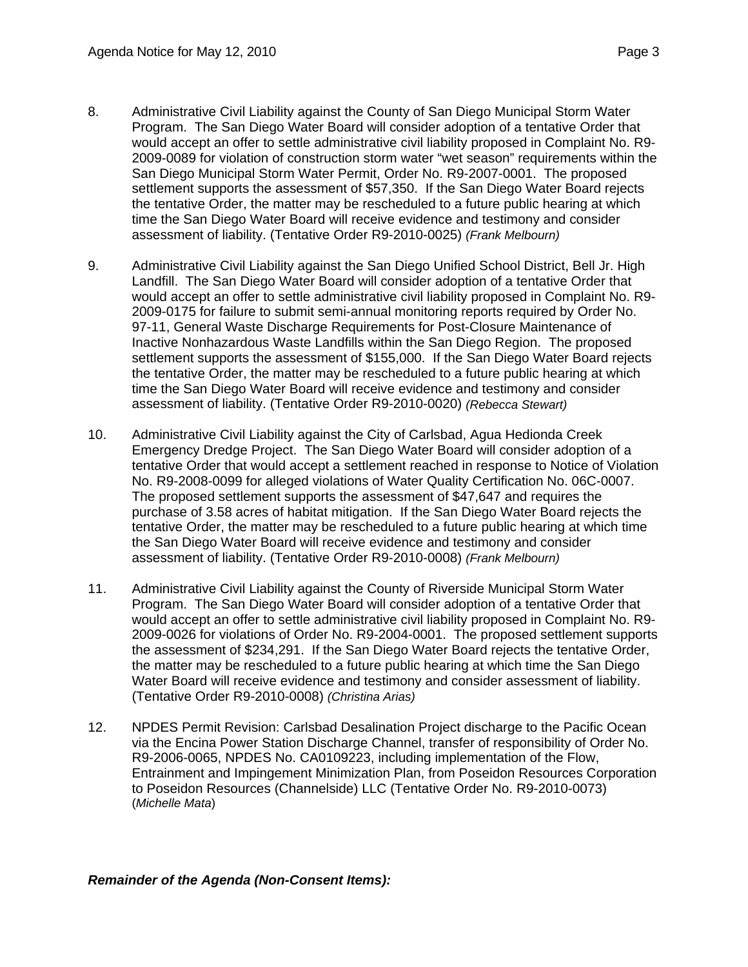8. Administrative Civil Liability against the County of San Diego Municipal Storm Water Program. The San Diego Water Board will consider adoption of a tentative Order that would accept an offer to settle administrative civil liability proposed in Complaint No. R9- 2009-0089 for violation of construction storm water "wet season" requirements within the San Diego Municipal Storm Water Permit, Order No. R9-2007-0001. The proposed settlement supports the assessment of \$57,350. If the San Diego Water Board rejects the tentative Order, the matter may be rescheduled to a future public hearing at which

time the San Diego Water Board will receive evidence and testimony and consider

assessment of liability. (Tentative Order R9-2010-0025) *(Frank Melbourn)*

- 9. Administrative Civil Liability against the San Diego Unified School District, Bell Jr. High Landfill. The San Diego Water Board will consider adoption of a tentative Order that would accept an offer to settle administrative civil liability proposed in Complaint No. R9- 2009-0175 for failure to submit semi-annual monitoring reports required by Order No. 97-11, General Waste Discharge Requirements for Post-Closure Maintenance of Inactive Nonhazardous Waste Landfills within the San Diego Region. The proposed settlement supports the assessment of \$155,000. If the San Diego Water Board rejects the tentative Order, the matter may be rescheduled to a future public hearing at which time the San Diego Water Board will receive evidence and testimony and consider assessment of liability. (Tentative Order R9-2010-0020) *(Rebecca Stewart)*
- 10. Administrative Civil Liability against the City of Carlsbad, Agua Hedionda Creek Emergency Dredge Project. The San Diego Water Board will consider adoption of a tentative Order that would accept a settlement reached in response to Notice of Violation No. R9-2008-0099 for alleged violations of Water Quality Certification No. 06C-0007. The proposed settlement supports the assessment of \$47,647 and requires the purchase of 3.58 acres of habitat mitigation. If the San Diego Water Board rejects the tentative Order, the matter may be rescheduled to a future public hearing at which time the San Diego Water Board will receive evidence and testimony and consider assessment of liability. (Tentative Order R9-2010-0008) *(Frank Melbourn)*
- 11. Administrative Civil Liability against the County of Riverside Municipal Storm Water Program. The San Diego Water Board will consider adoption of a tentative Order that would accept an offer to settle administrative civil liability proposed in Complaint No. R9- 2009-0026 for violations of Order No. R9-2004-0001. The proposed settlement supports the assessment of \$234,291. If the San Diego Water Board rejects the tentative Order, the matter may be rescheduled to a future public hearing at which time the San Diego Water Board will receive evidence and testimony and consider assessment of liability. (Tentative Order R9-2010-0008) *(Christina Arias)*
- 12. NPDES Permit Revision: Carlsbad Desalination Project discharge to the Pacific Ocean via the Encina Power Station Discharge Channel, transfer of responsibility of Order No. R9-2006-0065, NPDES No. CA0109223, including implementation of the Flow, Entrainment and Impingement Minimization Plan, from Poseidon Resources Corporation to Poseidon Resources (Channelside) LLC (Tentative Order No. R9-2010-0073) (*Michelle Mata*)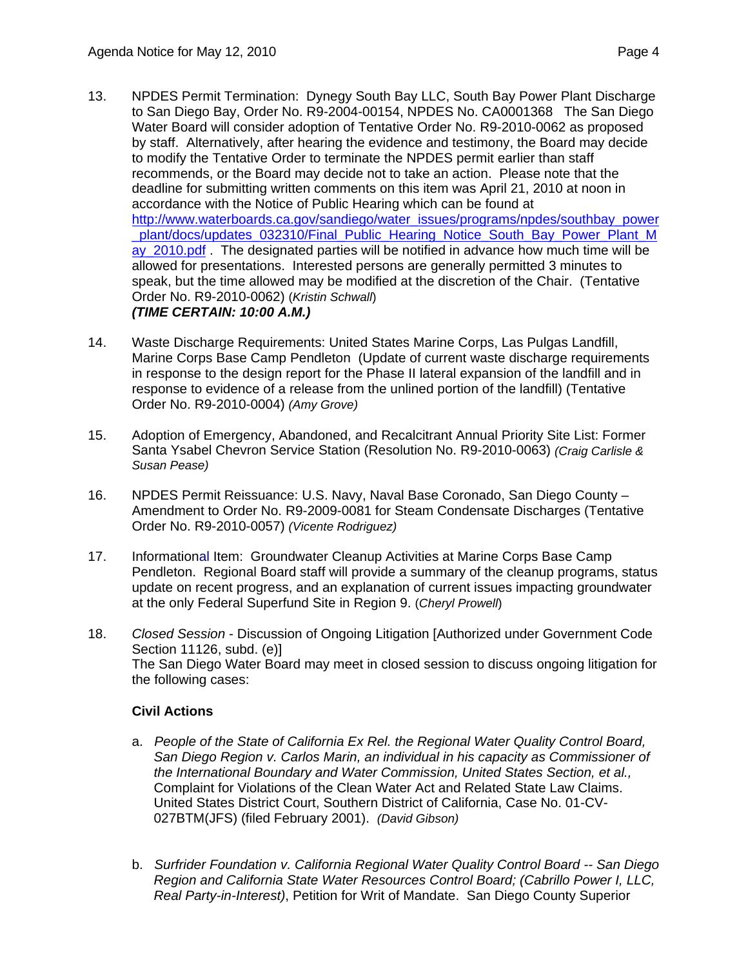- 13. NPDES Permit Termination: Dynegy South Bay LLC, South Bay Power Plant Discharge to San Diego Bay, Order No. R9-2004-00154, NPDES No. CA0001368 The San Diego Water Board will consider adoption of Tentative Order No. R9-2010-0062 as proposed by staff. Alternatively, after hearing the evidence and testimony, the Board may decide to modify the Tentative Order to terminate the NPDES permit earlier than staff recommends, or the Board may decide not to take an action. Please note that the deadline for submitting written comments on this item was April 21, 2010 at noon in accordance with the Notice of Public Hearing which can be found at [http://www.waterboards.ca.gov/sandiego/water\\_issues/programs/npdes/southbay\\_power](http://www.waterboards.ca.gov/sandiego/water_issues/programs/npdes/southbay_power_plant/docs/updates_032310/Final_Public_Hearing_Notice_South_Bay_Power_Plant_May_2010.pdf) plant/docs/updates\_032310/Final\_Public\_Hearing\_Notice\_South\_Bay\_Power\_Plant\_M ay 2010.pdf . The designated parties will be notified in advance how much time will be allowed for presentations. Interested persons are generally permitted 3 minutes to speak, but the time allowed may be modified at the discretion of the Chair. (Tentative Order No. R9-2010-0062) (*Kristin Schwall*) *(TIME CERTAIN: 10:00 A.M.)*
- 14. Waste Discharge Requirements: United States Marine Corps, Las Pulgas Landfill, Marine Corps Base Camp Pendleton (Update of current waste discharge requirements in response to the design report for the Phase II lateral expansion of the landfill and in response to evidence of a release from the unlined portion of the landfill) (Tentative Order No. R9-2010-0004) *(Amy Grove)*
- 15. Adoption of Emergency, Abandoned, and Recalcitrant Annual Priority Site List: Former Santa Ysabel Chevron Service Station (Resolution No. R9-2010-0063) *(Craig Carlisle & Susan Pease)*
- 16. NPDES Permit Reissuance: U.S. Navy, Naval Base Coronado, San Diego County Amendment to Order No. R9-2009-0081 for Steam Condensate Discharges (Tentative Order No. R9-2010-0057) *(Vicente Rodriguez)*
- 17. Informational Item: Groundwater Cleanup Activities at Marine Corps Base Camp Pendleton. Regional Board staff will provide a summary of the cleanup programs, status update on recent progress, and an explanation of current issues impacting groundwater at the only Federal Superfund Site in Region 9. (*Cheryl Prowell*)
- 18. *Closed Session* Discussion of Ongoing Litigation [Authorized under Government Code Section 11126, subd. (e)] The San Diego Water Board may meet in closed session to discuss ongoing litigation for the following cases:

# **Civil Actions**

- a. *People of the State of California Ex Rel. the Regional Water Quality Control Board, San Diego Region v. Carlos Marin, an individual in his capacity as Commissioner of the International Boundary and Water Commission, United States Section, et al.,* Complaint for Violations of the Clean Water Act and Related State Law Claims. United States District Court, Southern District of California, Case No. 01-CV-027BTM(JFS) (filed February 2001). *(David Gibson)*
- b. *Surfrider Foundation v. California Regional Water Quality Control Board -- San Diego Region and California State Water Resources Control Board; (Cabrillo Power I, LLC, Real Party-in-Interest)*, Petition for Writ of Mandate. San Diego County Superior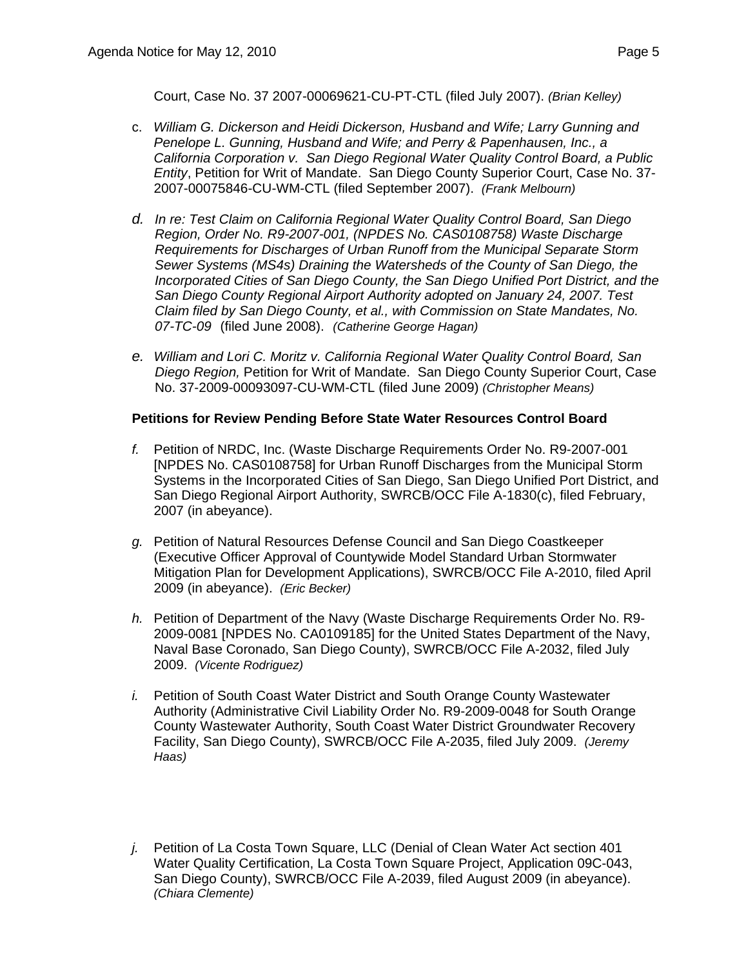Court, Case No. 37 2007-00069621-CU-PT-CTL (filed July 2007). *(Brian Kelley)*

- c. *William G. Dickerson and Heidi Dickerson, Husband and Wife; Larry Gunning and Penelope L. Gunning, Husband and Wife; and Perry & Papenhausen, Inc., a California Corporation v. San Diego Regional Water Quality Control Board, a Public Entity*, Petition for Writ of Mandate. San Diego County Superior Court, Case No. 37- 2007-00075846-CU-WM-CTL (filed September 2007). *(Frank Melbourn)*
- *d. In re: Test Claim on California Regional Water Quality Control Board, San Diego Region, Order No. R9-2007-001, (NPDES No. CAS0108758) Waste Discharge Requirements for Discharges of Urban Runoff from the Municipal Separate Storm Sewer Systems (MS4s) Draining the Watersheds of the County of San Diego, the Incorporated Cities of San Diego County, the San Diego Unified Port District, and the San Diego County Regional Airport Authority adopted on January 24, 2007. Test Claim filed by San Diego County, et al., with Commission on State Mandates, No. 07-TC-09* (filed June 2008). *(Catherine George Hagan)*
- *e. William and Lori C. Moritz v. California Regional Water Quality Control Board, San Diego Region,* Petition for Writ of Mandate. San Diego County Superior Court, Case No. 37-2009-00093097-CU-WM-CTL (filed June 2009) *(Christopher Means)*

#### **Petitions for Review Pending Before State Water Resources Control Board**

- *f.* Petition of NRDC, Inc. (Waste Discharge Requirements Order No. R9-2007-001 [NPDES No. CAS0108758] for Urban Runoff Discharges from the Municipal Storm Systems in the Incorporated Cities of San Diego, San Diego Unified Port District, and San Diego Regional Airport Authority, SWRCB/OCC File A-1830(c), filed February, 2007 (in abeyance).
- *g.* Petition of Natural Resources Defense Council and San Diego Coastkeeper (Executive Officer Approval of Countywide Model Standard Urban Stormwater Mitigation Plan for Development Applications), SWRCB/OCC File A-2010, filed April 2009 (in abeyance). *(Eric Becker)*
- *h.* Petition of Department of the Navy (Waste Discharge Requirements Order No. R9- 2009-0081 [NPDES No. CA0109185] for the United States Department of the Navy, Naval Base Coronado, San Diego County), SWRCB/OCC File A-2032, filed July 2009. *(Vicente Rodriguez)*
- *i.* Petition of South Coast Water District and South Orange County Wastewater Authority (Administrative Civil Liability Order No. R9-2009-0048 for South Orange County Wastewater Authority, South Coast Water District Groundwater Recovery Facility, San Diego County), SWRCB/OCC File A-2035, filed July 2009. *(Jeremy Haas)*
- *j.* Petition of La Costa Town Square, LLC (Denial of Clean Water Act section 401 Water Quality Certification, La Costa Town Square Project, Application 09C-043, San Diego County), SWRCB/OCC File A-2039, filed August 2009 (in abeyance). *(Chiara Clemente)*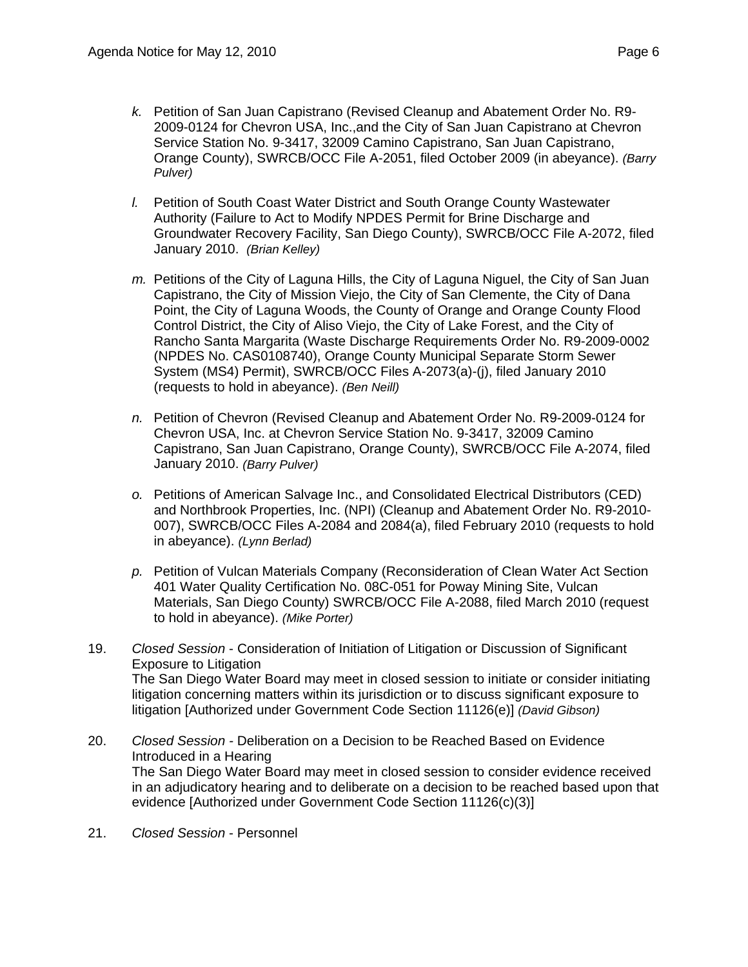- *k.* Petition of San Juan Capistrano (Revised Cleanup and Abatement Order No. R9- 2009-0124 for Chevron USA, Inc.,and the City of San Juan Capistrano at Chevron Service Station No. 9-3417, 32009 Camino Capistrano, San Juan Capistrano, Orange County), SWRCB/OCC File A-2051, filed October 2009 (in abeyance). *(Barry Pulver)*
- *l.* Petition of South Coast Water District and South Orange County Wastewater Authority (Failure to Act to Modify NPDES Permit for Brine Discharge and Groundwater Recovery Facility, San Diego County), SWRCB/OCC File A-2072, filed January 2010. *(Brian Kelley)*
- *m.* Petitions of the City of Laguna Hills, the City of Laguna Niguel, the City of San Juan Capistrano, the City of Mission Viejo, the City of San Clemente, the City of Dana Point, the City of Laguna Woods, the County of Orange and Orange County Flood Control District, the City of Aliso Viejo, the City of Lake Forest, and the City of Rancho Santa Margarita (Waste Discharge Requirements Order No. R9-2009-0002 (NPDES No. CAS0108740), Orange County Municipal Separate Storm Sewer System (MS4) Permit), SWRCB/OCC Files A-2073(a)-(j), filed January 2010 (requests to hold in abeyance). *(Ben Neill)*
- *n.* Petition of Chevron (Revised Cleanup and Abatement Order No. R9-2009-0124 for Chevron USA, Inc. at Chevron Service Station No. 9-3417, 32009 Camino Capistrano, San Juan Capistrano, Orange County), SWRCB/OCC File A-2074, filed January 2010. *(Barry Pulver)*
- *o.* Petitions of American Salvage Inc., and Consolidated Electrical Distributors (CED) and Northbrook Properties, Inc. (NPI) (Cleanup and Abatement Order No. R9-2010- 007), SWRCB/OCC Files A-2084 and 2084(a), filed February 2010 (requests to hold in abeyance). *(Lynn Berlad)*
- *p.* Petition of Vulcan Materials Company (Reconsideration of Clean Water Act Section 401 Water Quality Certification No. 08C-051 for Poway Mining Site, Vulcan Materials, San Diego County) SWRCB/OCC File A-2088, filed March 2010 (request to hold in abeyance). *(Mike Porter)*
- 19. *Closed Session* Consideration of Initiation of Litigation or Discussion of Significant Exposure to Litigation The San Diego Water Board may meet in closed session to initiate or consider initiating litigation concerning matters within its jurisdiction or to discuss significant exposure to litigation [Authorized under Government Code Section 11126(e)] *(David Gibson)*
- 20. *Closed Session* Deliberation on a Decision to be Reached Based on Evidence Introduced in a Hearing The San Diego Water Board may meet in closed session to consider evidence received in an adjudicatory hearing and to deliberate on a decision to be reached based upon that evidence [Authorized under Government Code Section 11126(c)(3)]
- 21. *Closed Session* Personnel